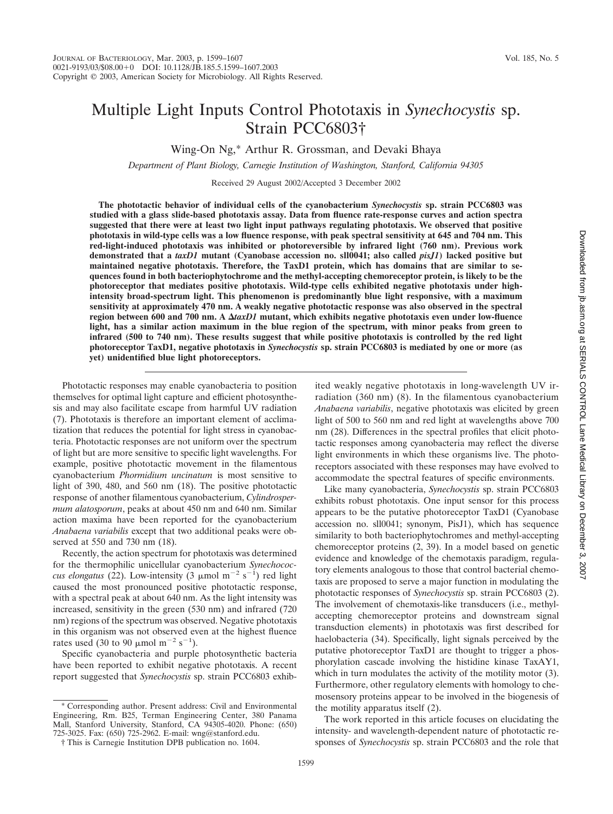# Multiple Light Inputs Control Phototaxis in *Synechocystis* sp. Strain PCC6803†

Wing-On Ng,\* Arthur R. Grossman, and Devaki Bhaya

*Department of Plant Biology, Carnegie Institution of Washington, Stanford, California 94305*

Received 29 August 2002/Accepted 3 December 2002

**The phototactic behavior of individual cells of the cyanobacterium** *Synechocystis* **sp. strain PCC6803 was studied with a glass slide-based phototaxis assay. Data from fluence rate-response curves and action spectra suggested that there were at least two light input pathways regulating phototaxis. We observed that positive phototaxis in wild-type cells was a low fluence response, with peak spectral sensitivity at 645 and 704 nm. This red-light-induced phototaxis was inhibited or photoreversible by infrared light (760 nm). Previous work demonstrated that a** *taxD1* **mutant (Cyanobase accession no. sll0041; also called** *pisJ1***) lacked positive but maintained negative phototaxis. Therefore, the TaxD1 protein, which has domains that are similar to sequences found in both bacteriophytochrome and the methyl-accepting chemoreceptor protein, is likely to be the photoreceptor that mediates positive phototaxis. Wild-type cells exhibited negative phototaxis under highintensity broad-spectrum light. This phenomenon is predominantly blue light responsive, with a maximum sensitivity at approximately 470 nm. A weakly negative phototactic response was also observed in the spectral region between 600 and 700 nm. A** *taxD1* **mutant, which exhibits negative phototaxis even under low-fluence light, has a similar action maximum in the blue region of the spectrum, with minor peaks from green to infrared (500 to 740 nm). These results suggest that while positive phototaxis is controlled by the red light photoreceptor TaxD1, negative phototaxis in** *Synechocystis* **sp. strain PCC6803 is mediated by one or more (as yet) unidentified blue light photoreceptors.**

Phototactic responses may enable cyanobacteria to position themselves for optimal light capture and efficient photosynthesis and may also facilitate escape from harmful UV radiation (7). Phototaxis is therefore an important element of acclimatization that reduces the potential for light stress in cyanobacteria. Phototactic responses are not uniform over the spectrum of light but are more sensitive to specific light wavelengths. For example, positive phototactic movement in the filamentous cyanobacterium *Phormidium uncinatum* is most sensitive to light of 390, 480, and 560 nm (18). The positive phototactic response of another filamentous cyanobacterium, *Cylindrospermum alatosporum*, peaks at about 450 nm and 640 nm. Similar action maxima have been reported for the cyanobacterium *Anabaena variabilis* except that two additional peaks were observed at 550 and 730 nm (18).

Recently, the action spectrum for phototaxis was determined for the thermophilic unicellular cyanobacterium *Synechococcus elongatus* (22). Low-intensity (3  $\mu$ mol m<sup>-2</sup> s<sup>-1</sup>) red light caused the most pronounced positive phototactic response, with a spectral peak at about 640 nm. As the light intensity was increased, sensitivity in the green (530 nm) and infrared (720 nm) regions of the spectrum was observed. Negative phototaxis in this organism was not observed even at the highest fluence rates used (30 to 90  $\mu$ mol m<sup>-2</sup> s<sup>-1</sup>).

Specific cyanobacteria and purple photosynthetic bacteria have been reported to exhibit negative phototaxis. A recent report suggested that *Synechocystis* sp. strain PCC6803 exhib-

\* Corresponding author. Present address: Civil and Environmental Engineering, Rm. B25, Terman Engineering Center, 380 Panama Mall, Stanford University, Stanford, CA 94305-4020. Phone: (650) 725-3025. Fax: (650) 725-2962. E-mail: wng@stanford.edu.

ited weakly negative phototaxis in long-wavelength UV irradiation (360 nm) (8). In the filamentous cyanobacterium *Anabaena variabilis*, negative phototaxis was elicited by green light of 500 to 560 nm and red light at wavelengths above 700 nm (28). Differences in the spectral profiles that elicit phototactic responses among cyanobacteria may reflect the diverse light environments in which these organisms live. The photoreceptors associated with these responses may have evolved to accommodate the spectral features of specific environments.

Like many cyanobacteria, *Synechocystis* sp. strain PCC6803 exhibits robust phototaxis. One input sensor for this process appears to be the putative photoreceptor TaxD1 (Cyanobase accession no. sll0041; synonym, PisJ1), which has sequence similarity to both bacteriophytochromes and methyl-accepting chemoreceptor proteins (2, 39). In a model based on genetic evidence and knowledge of the chemotaxis paradigm, regulatory elements analogous to those that control bacterial chemotaxis are proposed to serve a major function in modulating the phototactic responses of *Synechocystis* sp. strain PCC6803 (2). The involvement of chemotaxis-like transducers (i.e., methylaccepting chemoreceptor proteins and downstream signal transduction elements) in phototaxis was first described for haelobacteria (34). Specifically, light signals perceived by the putative photoreceptor TaxD1 are thought to trigger a phosphorylation cascade involving the histidine kinase TaxAY1, which in turn modulates the activity of the motility motor  $(3)$ . Furthermore, other regulatory elements with homology to chemosensory proteins appear to be involved in the biogenesis of the motility apparatus itself (2).

The work reported in this article focuses on elucidating the intensity- and wavelength-dependent nature of phototactic responses of *Synechocystis* sp. strain PCC6803 and the role that

<sup>†</sup> This is Carnegie Institution DPB publication no. 1604.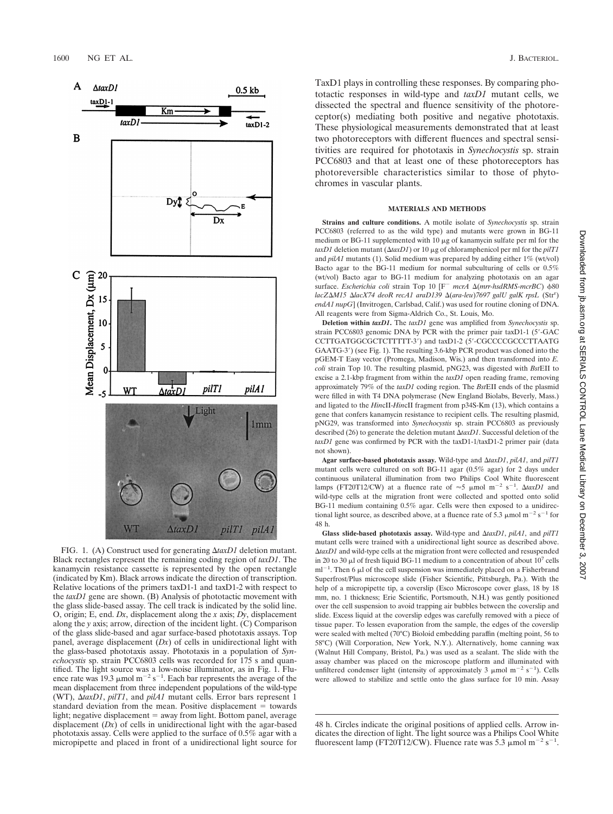

FIG. 1. (A) Construct used for generating  $\Delta$ taxD1 deletion mutant. Black rectangles represent the remaining coding region of *taxD1*. The kanamycin resistance cassette is represented by the open rectangle (indicated by Km). Black arrows indicate the direction of transcription. Relative locations of the primers taxD1-1 and taxD1-2 with respect to the *taxD1* gene are shown. (B) Analysis of phototactic movement with the glass slide-based assay. The cell track is indicated by the solid line. O, origin; E, end. *Dx*, displacement along the *x* axis; *Dy*, displacement along the *y* axis; arrow, direction of the incident light. (C) Comparison of the glass slide-based and agar surface-based phototaxis assays. Top panel, average displacement (*Dx*) of cells in unidirectional light with the glass-based phototaxis assay. Phototaxis in a population of *Synechocystis* sp. strain PCC6803 cells was recorded for 175 s and quantified. The light source was a low-noise illuminator, as in Fig. 1. Fluence rate was 19.3  $\mu$ mol m<sup>-2</sup> s<sup>-1</sup>. Each bar represents the average of the mean displacement from three independent populations of the wild-type (WT), *taxD1*, *pilT1*, and *pilA1* mutant cells. Error bars represent 1 standard deviation from the mean. Positive displacement  $=$  towards light; negative displacement  $=$  away from light. Bottom panel, average displacement (*Dx*) of cells in unidirectional light with the agar-based phototaxis assay. Cells were applied to the surface of 0.5% agar with a micropipette and placed in front of a unidirectional light source for

TaxD1 plays in controlling these responses. By comparing phototactic responses in wild-type and *taxD1* mutant cells, we dissected the spectral and fluence sensitivity of the photoreceptor(s) mediating both positive and negative phototaxis. These physiological measurements demonstrated that at least two photoreceptors with different fluences and spectral sensitivities are required for phototaxis in *Synechocystis* sp. strain PCC6803 and that at least one of these photoreceptors has photoreversible characteristics similar to those of phytochromes in vascular plants.

### **MATERIALS AND METHODS**

**Strains and culture conditions.** A motile isolate of *Synechocystis* sp. strain PCC6803 (referred to as the wild type) and mutants were grown in BG-11 medium or BG-11 supplemented with  $10 \mu$ g of kanamycin sulfate per ml for the *taxD1* deletion mutant (Δ*taxD1*) or 10 μg of chloramphenicol per ml for the *pilT1* and *pilA1* mutants (1). Solid medium was prepared by adding either 1% (wt/vol) Bacto agar to the BG-11 medium for normal subculturing of cells or 0.5% (wt/vol) Bacto agar to BG-11 medium for analyzing phototaxis on an agar surface. *Escherichia coli* strain Top 10 [F<sup>-</sup> mcrA Δ(mrr-hsdRMS-mcrBC)  $\phi$ 80 *lacZ∆M15 ∆lacX74 deoR recA1 araD139 ∆(ara-leu)7697 galU galK rpsL* (Str<sup>r</sup>) *endA1 nupG*] (Invitrogen, Carlsbad, Calif.) was used for routine cloning of DNA. All reagents were from Sigma-Aldrich Co., St. Louis, Mo.

**Deletion within** *taxD1***.** The *taxD1* gene was amplified from *Synechocystis* sp. strain PCC6803 genomic DNA by PCR with the primer pair taxD1-1 (5-GAC CCTTGATGGCGCTCTTTTT-3') and taxD1-2 (5'-CGCCCCGCCCTTAATG GAATG-3) (see Fig. 1). The resulting 3.6-kbp PCR product was cloned into the pGEM-T Easy vector (Promega, Madison, Wis.) and then transformed into *E. coli* strain Top 10. The resulting plasmid, pNG23, was digested with *Bst*EII to excise a 2.1-kbp fragment from within the *taxD1* open reading frame, removing approximately 79% of the *taxD1* coding region. The *Bst*EII ends of the plasmid were filled in with T4 DNA polymerase (New England Biolabs, Beverly, Mass.) and ligated to the *Hin*cII-*Hin*cII fragment from p34S-Km (13), which contains a gene that confers kanamycin resistance to recipient cells. The resulting plasmid, pNG29, was transformed into *Synechocystis* sp. strain PCC6803 as previously described (26) to generate the deletion mutant ΔtaxD1. Successful deletion of the *taxD1* gene was confirmed by PCR with the taxD1-1/taxD1-2 primer pair (data not shown).

**Agar surface-based phototaxis assay.** Wild-type and *taxD1*, *pilA1*, and *pilT1* mutant cells were cultured on soft BG-11 agar (0.5% agar) for 2 days under continuous unilateral illumination from two Philips Cool White fluorescent lamps (FT20T12/CW) at a fluence rate of  $\approx$ 5 µmol m<sup>-2</sup> s<sup>-1</sup>.  $\Delta$ taxD1 and wild-type cells at the migration front were collected and spotted onto solid BG-11 medium containing 0.5% agar. Cells were then exposed to a unidirectional light source, as described above, at a fluence rate of 5.3  $\mu$ mol m<sup>-2</sup> s<sup>-1</sup> for 48 h.

**Glass slide-based phototaxis assay.** Wild-type and *taxD1*, *pilA1*, and *pilT1* mutant cells were trained with a unidirectional light source as described above. *taxD1* and wild-type cells at the migration front were collected and resuspended in 20 to 30  $\mu$ l of fresh liquid BG-11 medium to a concentration of about 10<sup>7</sup> cells  $ml^{-1}$ . Then 6  $\mu$ l of the cell suspension was immediately placed on a Fisherbrand Superfrost/Plus microscope slide (Fisher Scientific, Pittsburgh, Pa.). With the help of a micropipette tip, a coverslip (Esco Microscope cover glass, 18 by 18 mm, no. 1 thickness; Erie Scientific, Portsmouth, N.H.) was gently positioned over the cell suspension to avoid trapping air bubbles between the coverslip and slide. Excess liquid at the coverslip edges was carefully removed with a piece of tissue paper. To lessen evaporation from the sample, the edges of the coverslip were sealed with melted (70°C) Bioloid embedding paraffin (melting point, 56 to 58°C) (Will Corporation, New York, N.Y.). Alternatively, home canning wax (Walnut Hill Company, Bristol, Pa.) was used as a sealant. The slide with the assay chamber was placed on the microscope platform and illuminated with unfiltered condenser light (intensity of approximately 3  $\mu$ mol m<sup>-2</sup> s<sup>-1</sup>). Cells were allowed to stabilize and settle onto the glass surface for 10 min. Assay

48 h. Circles indicate the original positions of applied cells. Arrow indicates the direction of light. The light source was a Philips Cool White fluorescent lamp (FT20T12/CW). Fluence rate was 5.3  $\mu$ mol m<sup>-2</sup> s<sup>-1</sup>.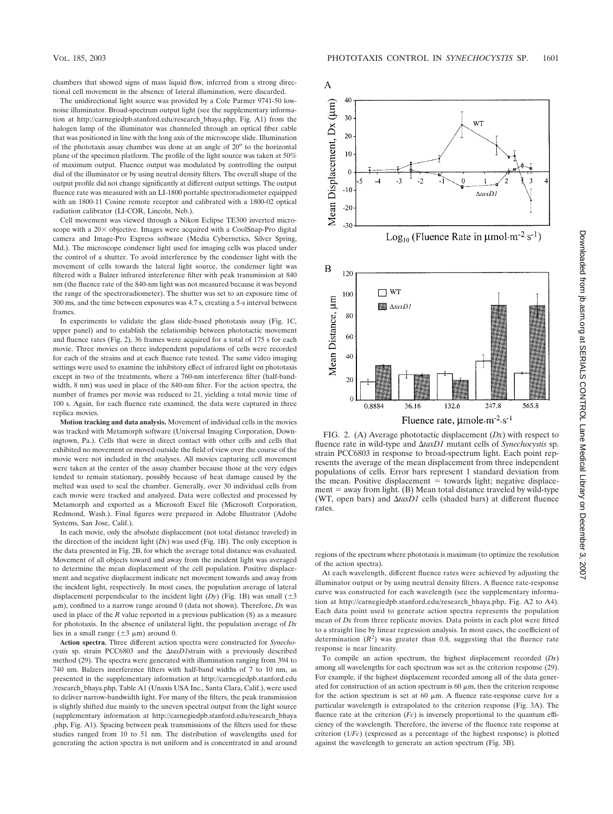chambers that showed signs of mass liquid flow, inferred from a strong directional cell movement in the absence of lateral illumination, were discarded.

The unidirectional light source was provided by a Cole Parmer 9741-50 lownoise illuminator. Broad-spectrum output light (see the supplementary information at http://carnegiedpb.stanford.edu/research\_bhaya.php, Fig. A1) from the halogen lamp of the illuminator was channeled through an optical fiber cable that was positioned in line with the long axis of the microscope slide. Illumination of the phototaxis assay chamber was done at an angle of  $20^{\circ}$  to the horizontal plane of the specimen platform. The profile of the light source was taken at 50% of maximum output. Fluence output was modulated by controlling the output dial of the illuminator or by using neutral density filters. The overall shape of the output profile did not change significantly at different output settings. The output fluence rate was measured with an LI-1800 portable spectroradiometer equipped with an 1800-11 Cosine remote receptor and calibrated with a 1800-02 optical radiation calibrator (LI-COR, Lincoln, Neb.).

Cell movement was viewed through a Nikon Eclipse TE300 inverted microscope with a  $20 \times$  objective. Images were acquired with a CoolSnap-Pro digital camera and Image-Pro Express software (Media Cybernetics, Silver Spring, Md.). The microscope condenser light used for imaging cells was placed under the control of a shutter. To avoid interference by the condenser light with the movement of cells towards the lateral light source, the condenser light was filtered with a Balzer infrared interference filter with peak transmission at 840 nm (the fluence rate of the 840-nm light was not measured because it was beyond the range of the spectroradiometer). The shutter was set to an exposure time of 300 ms, and the time between exposures was 4.7 s, creating a 5-s interval between frames

In experiments to validate the glass slide-based phototaxis assay (Fig. 1C, upper panel) and to establish the relationship between phototactic movement and fluence rates (Fig. 2), 36 frames were acquired for a total of 175 s for each movie. Three movies on three independent populations of cells were recorded for each of the strains and at each fluence rate tested. The same video imaging settings were used to examine the inhibitory effect of infrared light on phototaxis except in two of the treatments, where a 760-nm interference filter (half-bandwidth, 8 nm) was used in place of the 840-nm filter. For the action spectra, the number of frames per movie was reduced to 21, yielding a total movie time of 100 s. Again, for each fluence rate examined, the data were captured in three replica movies.

**Motion tracking and data analysis.** Movement of individual cells in the movies was tracked with Metamorph software (Universal Imaging Corporation, Downingtown, Pa.). Cells that were in direct contact with other cells and cells that exhibited no movement or moved outside the field of view over the course of the movie were not included in the analyses. All movies capturing cell movement were taken at the center of the assay chamber because those at the very edges tended to remain stationary, possibly because of heat damage caused by the melted wax used to seal the chamber. Generally, over 30 individual cells from each movie were tracked and analyzed. Data were collected and processed by Metamorph and exported as a Microsoft Excel file (Microsoft Corporation, Redmond, Wash.). Final figures were prepared in Adobe Illustrator (Adobe Systems, San Jose, Calif.).

In each movie, only the absolute displacement (not total distance traveled) in the direction of the incident light (*Dx*) was used (Fig. 1B). The only exception is the data presented in Fig. 2B, for which the average total distance was evaluated. Movement of all objects toward and away from the incident light was averaged to determine the mean displacement of the cell population. Positive displacement and negative displacement indicate net movement towards and away from the incident light, respectively. In most cases, the population average of lateral displacement perpendicular to the incident light  $(Dy)$  (Fig. 1B) was small  $(\pm 3)$ μm), confined to a narrow range around 0 (data not shown). Therefore, *Dx* was used in place of the *R* value reported in a previous publication (8) as a measure for phototaxis. In the absence of unilateral light, the population average of *Dx* lies in a small range  $(\pm 3 \mu m)$  around 0.

**Action spectra.** Three different action spectra were constructed for *Synecho* $cystis$  sp. strain PCC6803 and the  $\Delta taxD1$ strain with a previously described method (29). The spectra were generated with illumination ranging from 394 to 740 nm. Balzers interference filters with half-band widths of 7 to 10 nm, as presented in the supplementary information at http://carnegiedpb.stanford.edu /research\_bhaya.php, Table A1 (Unaxis USA Inc., Santa Clara, Calif.), were used to deliver narrow-bandwidth light. For many of the filters, the peak transmission is slightly shifted due mainly to the uneven spectral output from the light source (supplementary information at http://carnegiedpb.stanford.edu/research\_bhaya .php, Fig. A1). Spacing between peak transmissions of the filters used for these studies ranged from 10 to 51 nm. The distribution of wavelengths used for generating the action spectra is not uniform and is concentrated in and around A

Mean Displacement, Dx (µm)

 $\mathbf B$  $120$ 

40

30

20  $10$  $\overline{0}$ 

 $-10$ 

 $-20$  $-30$ 



100 Mean Distance, um  $80\,$ 60 40 20 0.8884 36.16 132.6 247.8 565.8 Fluence rate,  $\mu$ mole m<sup>-2</sup> s<sup>-1</sup> FIG. 2. (A) Average phototactic displacement (*Dx*) with respect to

fluence rate in wild-type and *taxD1* mutant cells of *Synechocystis* sp. strain PCC6803 in response to broad-spectrum light. Each point represents the average of the mean displacement from three independent populations of cells. Error bars represent 1 standard deviation from the mean. Positive displacement  $=$  towards light; negative displacement = away from light. (B) Mean total distance traveled by wild-type (WT, open bars) and  $\Delta$ taxD1 cells (shaded bars) at different fluence rates.

regions of the spectrum where phototaxis is maximum (to optimize the resolution of the action spectra).

At each wavelength, different fluence rates were achieved by adjusting the illuminator output or by using neutral density filters. A fluence rate-response curve was constructed for each wavelength (see the supplementary information at http://carnegiedpb.stanford.edu/research\_bhaya.php, Fig. A2 to A4). Each data point used to generate action spectra represents the population mean of *Dx* from three replicate movies. Data points in each plot were fitted to a straight line by linear regression analysis. In most cases, the coefficient of determination  $(R^2)$  was greater than 0.8, suggesting that the fluence rate response is near linearity.

To compile an action spectrum, the highest displacement recorded (*Dx*) among all wavelengths for each spectrum was set as the criterion response (29). For example, if the highest displacement recorded among all of the data generated for construction of an action spectrum is  $60 \mu m$ , then the criterion response for the action spectrum is set at 60  $\mu$ m. A fluence rate-response curve for a particular wavelength is extrapolated to the criterion response (Fig. 3A). The fluence rate at the criterion (*Fc*) is inversely proportional to the quantum efficiency of the wavelength. Therefore, the inverse of the fluence rate response at criterion (1/*Fc*) (expressed as a percentage of the highest response) is plotted against the wavelength to generate an action spectrum (Fig. 3B).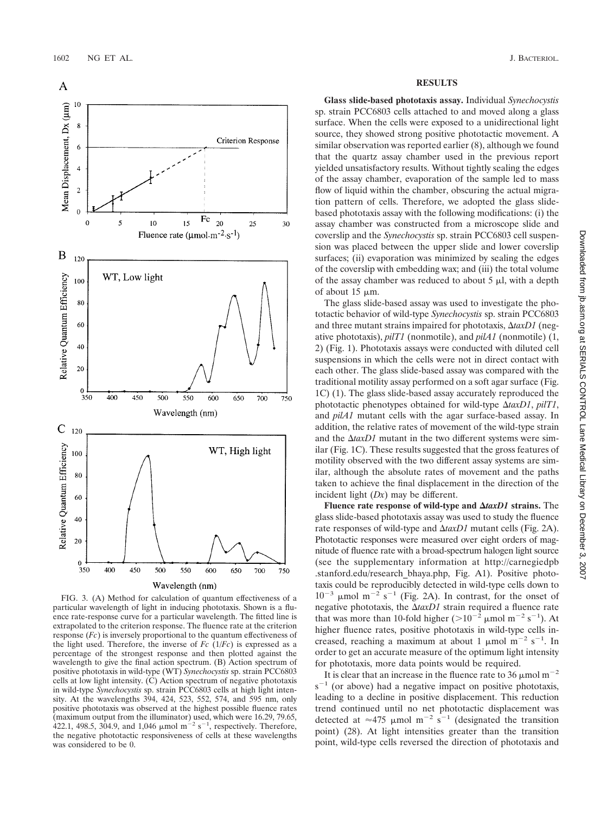

FIG. 3. (A) Method for calculation of quantum effectiveness of a particular wavelength of light in inducing phototaxis. Shown is a fluence rate-response curve for a particular wavelength. The fitted line is extrapolated to the criterion response. The fluence rate at the criterion response (*Fc*) is inversely proportional to the quantum effectiveness of the light used. Therefore, the inverse of  $Fc$  ( $1/Fc$ ) is expressed as a percentage of the strongest response and then plotted against the wavelength to give the final action spectrum. (B) Action spectrum of positive phototaxis in wild-type (WT) *Synechocystis* sp. strain PCC6803 cells at low light intensity. (C) Action spectrum of negative phototaxis in wild-type *Synechocystis* sp. strain PCC6803 cells at high light intensity. At the wavelengths 394, 424, 523, 552, 574, and 595 nm, only positive phototaxis was observed at the highest possible fluence rates (maximum output from the illuminator) used, which were 16.29, 79.65,  $422.1, 498.5, 304.9,$  and 1,046  $\mu$ mol m<sup>-2</sup> s<sup>-1</sup>, respectively. Therefore, the negative phototactic responsiveness of cells at these wavelengths was considered to be 0.

## **RESULTS**

**Glass slide-based phototaxis assay.** Individual *Synechocystis* sp. strain PCC6803 cells attached to and moved along a glass surface. When the cells were exposed to a unidirectional light source, they showed strong positive phototactic movement. A similar observation was reported earlier (8), although we found that the quartz assay chamber used in the previous report yielded unsatisfactory results. Without tightly sealing the edges of the assay chamber, evaporation of the sample led to mass flow of liquid within the chamber, obscuring the actual migration pattern of cells. Therefore, we adopted the glass slidebased phototaxis assay with the following modifications: (i) the assay chamber was constructed from a microscope slide and coverslip and the *Synechocystis* sp. strain PCC6803 cell suspension was placed between the upper slide and lower coverslip surfaces; (ii) evaporation was minimized by sealing the edges of the coverslip with embedding wax; and (iii) the total volume of the assay chamber was reduced to about  $5 \mu l$ , with a depth of about  $15 \mu m$ .

The glass slide-based assay was used to investigate the phototactic behavior of wild-type *Synechocystis* sp. strain PCC6803 and three mutant strains impaired for phototaxis,  $\Delta$ taxD1 (negative phototaxis), *pilT1* (nonmotile), and *pilA1* (nonmotile) (1, 2) (Fig. 1). Phototaxis assays were conducted with diluted cell suspensions in which the cells were not in direct contact with each other. The glass slide-based assay was compared with the traditional motility assay performed on a soft agar surface (Fig. 1C) (1). The glass slide-based assay accurately reproduced the phototactic phenotypes obtained for wild-type  $\Delta$ taxD1, *pilT1*, and *pilA1* mutant cells with the agar surface-based assay. In addition, the relative rates of movement of the wild-type strain and the  $\Delta$ taxD1 mutant in the two different systems were similar (Fig. 1C). These results suggested that the gross features of motility observed with the two different assay systems are similar, although the absolute rates of movement and the paths taken to achieve the final displacement in the direction of the incident light (*Dx*) may be different.

**Fluence rate response of wild-type and** *taxD1* **strains.** The glass slide-based phototaxis assay was used to study the fluence rate responses of wild-type and *taxD1* mutant cells (Fig. 2A). Phototactic responses were measured over eight orders of magnitude of fluence rate with a broad-spectrum halogen light source (see the supplementary information at http://carnegiedpb .stanford.edu/research\_bhaya.php, Fig. A1). Positive phototaxis could be reproducibly detected in wild-type cells down to  $10^{-3}$  µmol m<sup>-2</sup> s<sup>-1</sup> (Fig. 2A). In contrast, for the onset of negative phototaxis, the  $\Delta$ tax $D1$  strain required a fluence rate that was more than 10-fold higher  $(>10^{-2} \mu$  mol m<sup>-2</sup> s<sup>-1</sup>). At higher fluence rates, positive phototaxis in wild-type cells increased, reaching a maximum at about 1  $\mu$ mol m<sup>-2</sup> s<sup>-1</sup>. In order to get an accurate measure of the optimum light intensity for phototaxis, more data points would be required.

It is clear that an increase in the fluence rate to 36  $\mu$ mol m<sup>-2</sup>  $s^{-1}$  (or above) had a negative impact on positive phototaxis, leading to a decline in positive displacement. This reduction trend continued until no net phototactic displacement was detected at  $\approx$ 475 µmol m<sup>-2</sup> s<sup>-1</sup> (designated the transition point) (28). At light intensities greater than the transition point, wild-type cells reversed the direction of phototaxis and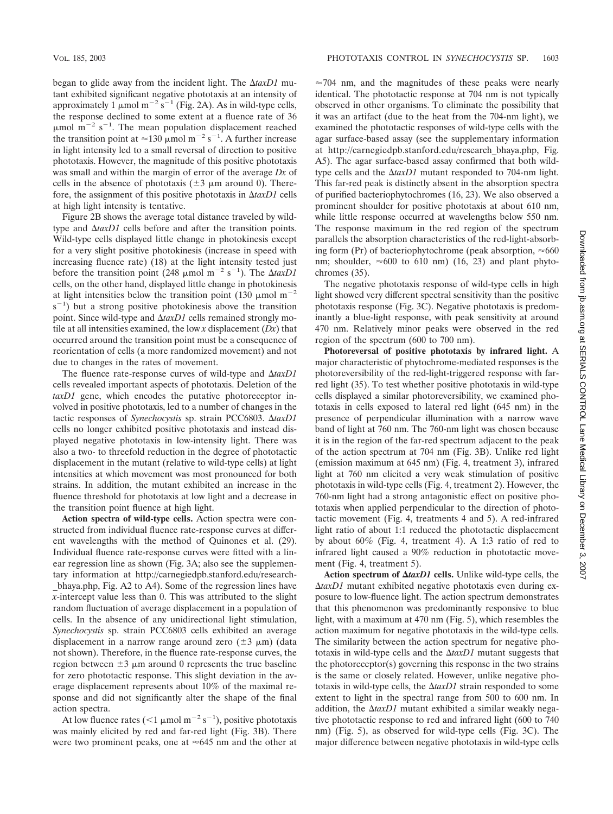began to glide away from the incident light. The  $\Delta$ taxD1 mutant exhibited significant negative phototaxis at an intensity of approximately 1  $\mu$ mol m<sup>-2</sup> s<sup>-1</sup> (Fig. 2A). As in wild-type cells, the response declined to some extent at a fluence rate of 36  $\mu$ mol m<sup>-2</sup> s<sup>-1</sup>. The mean population displacement reached the transition point at  $\approx$  130 µmol m<sup>-2</sup> s<sup>-1</sup>. A further increase in light intensity led to a small reversal of direction to positive phototaxis. However, the magnitude of this positive phototaxis was small and within the margin of error of the average *Dx* of cells in the absence of phototaxis  $(\pm 3 \mu m$  around 0). Therefore, the assignment of this positive phototaxis in  $\Delta$ *taxD1* cells at high light intensity is tentative.

Figure 2B shows the average total distance traveled by wildtype and  $\Delta$ taxD1 cells before and after the transition points. Wild-type cells displayed little change in photokinesis except for a very slight positive photokinesis (increase in speed with increasing fluence rate) (18) at the light intensity tested just before the transition point (248  $\mu$ mol m<sup>-2</sup> s<sup>-1</sup>). The  $\Delta$ taxD1 cells, on the other hand, displayed little change in photokinesis at light intensities below the transition point (130  $\mu$ mol m<sup>-2</sup>  $(s^{-1})$  but a strong positive photokinesis above the transition point. Since wild-type and  $\Delta$ *taxD1* cells remained strongly motile at all intensities examined, the low *x* displacement (*Dx*) that occurred around the transition point must be a consequence of reorientation of cells (a more randomized movement) and not due to changes in the rates of movement.

The fluence rate-response curves of wild-type and *taxD1* cells revealed important aspects of phototaxis. Deletion of the *taxD1* gene, which encodes the putative photoreceptor involved in positive phototaxis, led to a number of changes in the tactic responses of *Synechocystis* sp. strain PCC6803. *taxD1* cells no longer exhibited positive phototaxis and instead displayed negative phototaxis in low-intensity light. There was also a two- to threefold reduction in the degree of phototactic displacement in the mutant (relative to wild-type cells) at light intensities at which movement was most pronounced for both strains. In addition, the mutant exhibited an increase in the fluence threshold for phototaxis at low light and a decrease in the transition point fluence at high light.

**Action spectra of wild-type cells.** Action spectra were constructed from individual fluence rate-response curves at different wavelengths with the method of Quinones et al. (29). Individual fluence rate-response curves were fitted with a linear regression line as shown (Fig. 3A; also see the supplementary information at http://carnegiedpb.stanford.edu/research- \_bhaya.php, Fig. A2 to A4). Some of the regression lines have *x*-intercept value less than 0. This was attributed to the slight random fluctuation of average displacement in a population of cells. In the absence of any unidirectional light stimulation, *Synechocystis* sp. strain PCC6803 cells exhibited an average displacement in a narrow range around zero  $(\pm 3 \mu m)$  (data not shown). Therefore, in the fluence rate-response curves, the region between  $\pm 3$   $\mu$ m around 0 represents the true baseline for zero phototactic response. This slight deviation in the average displacement represents about 10% of the maximal response and did not significantly alter the shape of the final action spectra.

At low fluence rates ( $\leq 1 \mu$ mol m<sup>-2</sup> s<sup>-1</sup>), positive phototaxis was mainly elicited by red and far-red light (Fig. 3B). There were two prominent peaks, one at  $\approx 645$  nm and the other at

 $\approx$ 704 nm, and the magnitudes of these peaks were nearly identical. The phototactic response at 704 nm is not typically observed in other organisms. To eliminate the possibility that it was an artifact (due to the heat from the 704-nm light), we examined the phototactic responses of wild-type cells with the agar surface-based assay (see the supplementary information at http://carnegiedpb.stanford.edu/research\_bhaya.php, Fig. A5). The agar surface-based assay confirmed that both wildtype cells and the  $\Delta$ taxD1 mutant responded to 704-nm light. This far-red peak is distinctly absent in the absorption spectra of purified bacteriophytochromes (16, 23). We also observed a prominent shoulder for positive phototaxis at about 610 nm, while little response occurred at wavelengths below 550 nm. The response maximum in the red region of the spectrum parallels the absorption characteristics of the red-light-absorbing form (Pr) of bacteriophytochrome (peak absorption,  $\approx 660$ nm; shoulder,  $\approx 600$  to 610 nm) (16, 23) and plant phytochromes (35).

The negative phototaxis response of wild-type cells in high light showed very different spectral sensitivity than the positive phototaxis response (Fig. 3C). Negative phototaxis is predominantly a blue-light response, with peak sensitivity at around 470 nm. Relatively minor peaks were observed in the red region of the spectrum (600 to 700 nm).

**Photoreversal of positive phototaxis by infrared light.** A major characteristic of phytochrome-mediated responses is the photoreversibility of the red-light-triggered response with farred light (35). To test whether positive phototaxis in wild-type cells displayed a similar photoreversibility, we examined phototaxis in cells exposed to lateral red light (645 nm) in the presence of perpendicular illumination with a narrow wave band of light at 760 nm. The 760-nm light was chosen because it is in the region of the far-red spectrum adjacent to the peak of the action spectrum at 704 nm (Fig. 3B). Unlike red light (emission maximum at 645 nm) (Fig. 4, treatment 3), infrared light at 760 nm elicited a very weak stimulation of positive phototaxis in wild-type cells (Fig. 4, treatment 2). However, the 760-nm light had a strong antagonistic effect on positive phototaxis when applied perpendicular to the direction of phototactic movement (Fig. 4, treatments 4 and 5). A red-infrared light ratio of about 1:1 reduced the phototactic displacement by about 60% (Fig. 4, treatment 4). A 1:3 ratio of red to infrared light caused a 90% reduction in phototactic movement (Fig. 4, treatment 5).

Action spectrum of  $\Delta$ taxD1 cells. Unlike wild-type cells, the *taxD1* mutant exhibited negative phototaxis even during exposure to low-fluence light. The action spectrum demonstrates that this phenomenon was predominantly responsive to blue light, with a maximum at 470 nm (Fig. 5), which resembles the action maximum for negative phototaxis in the wild-type cells. The similarity between the action spectrum for negative phototaxis in wild-type cells and the  $\Delta$ taxD1 mutant suggests that the photoreceptor(s) governing this response in the two strains is the same or closely related. However, unlike negative phototaxis in wild-type cells, the  $\Delta$ tax $DI$  strain responded to some extent to light in the spectral range from 500 to 600 nm. In addition, the  $\Delta$ taxD1 mutant exhibited a similar weakly negative phototactic response to red and infrared light (600 to 740 nm) (Fig. 5), as observed for wild-type cells (Fig. 3C). The major difference between negative phototaxis in wild-type cells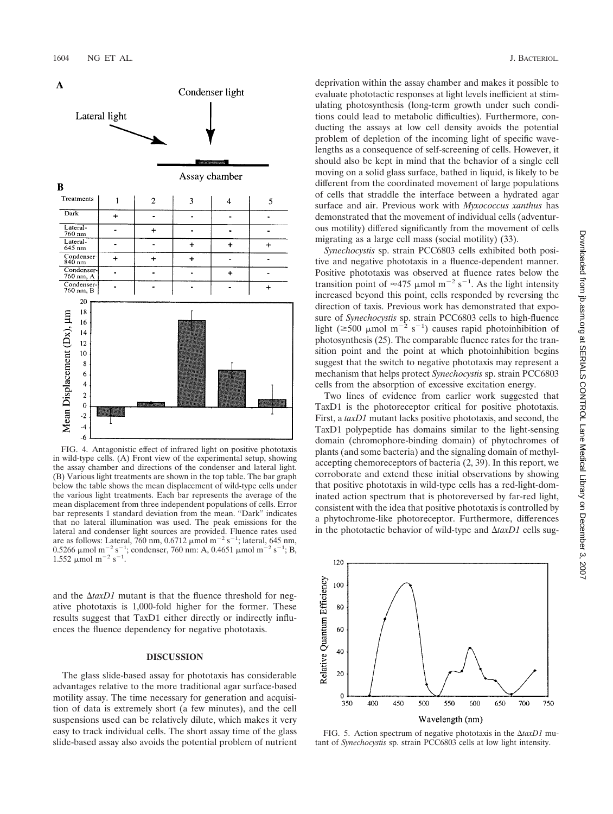

FIG. 4. Antagonistic effect of infrared light on positive phototaxis in wild-type cells. (A) Front view of the experimental setup, showing the assay chamber and directions of the condenser and lateral light. (B) Various light treatments are shown in the top table. The bar graph below the table shows the mean displacement of wild-type cells under the various light treatments. Each bar represents the average of the mean displacement from three independent populations of cells. Error bar represents 1 standard deviation from the mean. "Dark" indicates that no lateral illumination was used. The peak emissions for the lateral and condenser light sources are provided. Fluence rates used are as follows: Lateral,  $760 \text{ nm}$ ,  $0.6712 \text{ µmol m}^{-2} \text{ s}^{-1}$ ; lateral, 645 nm,  $0.5266 \mu$ mol m<sup>-2</sup> s<sup>-1</sup>; condenser, 760 nm: A, 0.4651  $\mu$ mol m<sup>-2</sup> s<sup>-1</sup>; B,  $1.552 \mu \text{mol m}^{-2} \text{ s}^{-1}$ .

and the  $\Delta$ taxD1 mutant is that the fluence threshold for negative phototaxis is 1,000-fold higher for the former. These results suggest that TaxD1 either directly or indirectly influences the fluence dependency for negative phototaxis.

## **DISCUSSION**

The glass slide-based assay for phototaxis has considerable advantages relative to the more traditional agar surface-based motility assay. The time necessary for generation and acquisition of data is extremely short (a few minutes), and the cell suspensions used can be relatively dilute, which makes it very easy to track individual cells. The short assay time of the glass slide-based assay also avoids the potential problem of nutrient deprivation within the assay chamber and makes it possible to evaluate phototactic responses at light levels inefficient at stimulating photosynthesis (long-term growth under such conditions could lead to metabolic difficulties). Furthermore, conducting the assays at low cell density avoids the potential problem of depletion of the incoming light of specific wavelengths as a consequence of self-screening of cells. However, it should also be kept in mind that the behavior of a single cell moving on a solid glass surface, bathed in liquid, is likely to be different from the coordinated movement of large populations of cells that straddle the interface between a hydrated agar surface and air. Previous work with *Myxococcus xanthus* has demonstrated that the movement of individual cells (adventurous motility) differed significantly from the movement of cells migrating as a large cell mass (social motility) (33).

*Synechocystis* sp. strain PCC6803 cells exhibited both positive and negative phototaxis in a fluence-dependent manner. Positive phototaxis was observed at fluence rates below the transition point of  $\approx$ 475 µmol m<sup>-2</sup> s<sup>-1</sup>. As the light intensity increased beyond this point, cells responded by reversing the direction of taxis. Previous work has demonstrated that exposure of *Synechocystis* sp. strain PCC6803 cells to high-fluence light ( $\geq 500$   $\mu$ mol m<sup>-2</sup> s<sup>-1</sup>) causes rapid photoinhibition of photosynthesis (25). The comparable fluence rates for the transition point and the point at which photoinhibition begins suggest that the switch to negative phototaxis may represent a mechanism that helps protect *Synechocystis* sp. strain PCC6803 cells from the absorption of excessive excitation energy.

Two lines of evidence from earlier work suggested that TaxD1 is the photoreceptor critical for positive phototaxis. First, a *taxD1* mutant lacks positive phototaxis, and second, the TaxD1 polypeptide has domains similar to the light-sensing domain (chromophore-binding domain) of phytochromes of plants (and some bacteria) and the signaling domain of methylaccepting chemoreceptors of bacteria (2, 39). In this report, we corroborate and extend these initial observations by showing that positive phototaxis in wild-type cells has a red-light-dominated action spectrum that is photoreversed by far-red light, consistent with the idea that positive phototaxis is controlled by a phytochrome-like photoreceptor. Furthermore, differences in the phototactic behavior of wild-type and  $\Delta$ taxD1 cells sug-



FIG. 5. Action spectrum of negative phototaxis in the  $\Delta$ taxD1 mutant of *Synechocystis* sp. strain PCC6803 cells at low light intensity.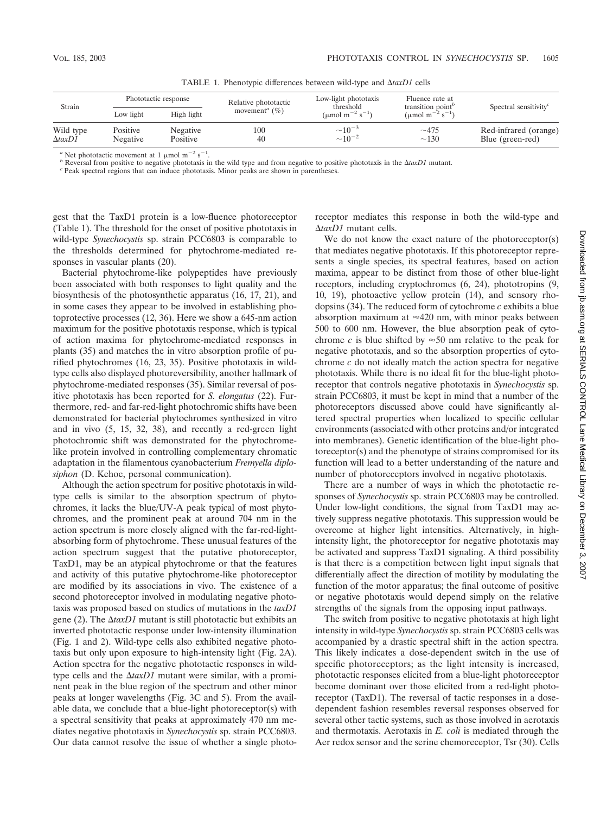| Strain                      | Phototactic response |            | Relative phototactic                | Low-light phototaxis<br>threshold             | Fluence rate at<br>transition point <sup>b</sup> | Spectral sensitivity $c$ |
|-----------------------------|----------------------|------------|-------------------------------------|-----------------------------------------------|--------------------------------------------------|--------------------------|
|                             | Low light            | High light | movement <sup><i>a</i></sup> $(\%)$ | ( $\mu$ mol m <sup>-2</sup> s <sup>-1</sup> ) | ( $\mu$ mol m <sup>-2</sup> s <sup>-1</sup> )    |                          |
| Wild type<br>$\Delta$ taxD1 | Positive             | Negative   | 100                                 | $\sim 10^{-3}$                                | $\sim$ 475                                       | Red-infrared (orange)    |
|                             | Negative             | Positive   | 40                                  | $\sim 10^{-2}$                                | $\sim$ 130                                       | Blue (green-red)         |

TABLE 1. Phenotypic differences between wild-type and  $\Delta$ taxD1 cells

<sup>*a*</sup> Net phototactic movement at 1  $\mu$ mol m<sup>-2</sup> s<sup>-1</sup>

<sup>b</sup> Reversal from positive to negative phototaxis in the wild type and from negative to positive phototaxis in the  $\Delta$ *taxD1* mutant. <sup>c</sup> Peak spectral regions that can induce phototaxis. Minor peaks are shown in parenth

gest that the TaxD1 protein is a low-fluence photoreceptor (Table 1). The threshold for the onset of positive phototaxis in wild-type *Synechocystis* sp. strain PCC6803 is comparable to the thresholds determined for phytochrome-mediated responses in vascular plants (20).

Bacterial phytochrome-like polypeptides have previously been associated with both responses to light quality and the biosynthesis of the photosynthetic apparatus (16, 17, 21), and in some cases they appear to be involved in establishing photoprotective processes (12, 36). Here we show a 645-nm action maximum for the positive phototaxis response, which is typical of action maxima for phytochrome-mediated responses in plants (35) and matches the in vitro absorption profile of purified phytochromes (16, 23, 35). Positive phototaxis in wildtype cells also displayed photoreversibility, another hallmark of phytochrome-mediated responses (35). Similar reversal of positive phototaxis has been reported for *S. elongatus* (22). Furthermore, red- and far-red-light photochromic shifts have been demonstrated for bacterial phytochromes synthesized in vitro and in vivo (5, 15, 32, 38), and recently a red-green light photochromic shift was demonstrated for the phytochromelike protein involved in controlling complementary chromatic adaptation in the filamentous cyanobacterium *Fremyella diplosiphon* (D. Kehoe, personal communication).

Although the action spectrum for positive phototaxis in wildtype cells is similar to the absorption spectrum of phytochromes, it lacks the blue/UV-A peak typical of most phytochromes, and the prominent peak at around 704 nm in the action spectrum is more closely aligned with the far-red-lightabsorbing form of phytochrome. These unusual features of the action spectrum suggest that the putative photoreceptor, TaxD1, may be an atypical phytochrome or that the features and activity of this putative phytochrome-like photoreceptor are modified by its associations in vivo. The existence of a second photoreceptor involved in modulating negative phototaxis was proposed based on studies of mutations in the *taxD1* gene  $(2)$ . The  $\Delta$ taxD1 mutant is still phototactic but exhibits an inverted phototactic response under low-intensity illumination (Fig. 1 and 2). Wild-type cells also exhibited negative phototaxis but only upon exposure to high-intensity light (Fig. 2A). Action spectra for the negative phototactic responses in wildtype cells and the  $\Delta$ taxD1 mutant were similar, with a prominent peak in the blue region of the spectrum and other minor peaks at longer wavelengths (Fig. 3C and 5). From the available data, we conclude that a blue-light photoreceptor(s) with a spectral sensitivity that peaks at approximately 470 nm mediates negative phototaxis in *Synechocystis* sp. strain PCC6803. Our data cannot resolve the issue of whether a single photoreceptor mediates this response in both the wild-type and *taxD1* mutant cells.

We do not know the exact nature of the photoreceptor(s) that mediates negative phototaxis. If this photoreceptor represents a single species, its spectral features, based on action maxima, appear to be distinct from those of other blue-light receptors, including cryptochromes (6, 24), phototropins (9, 10, 19), photoactive yellow protein (14), and sensory rhodopsins (34). The reduced form of cytochrome *c* exhibits a blue absorption maximum at  $\approx$ 420 nm, with minor peaks between 500 to 600 nm. However, the blue absorption peak of cytochrome *c* is blue shifted by  $\approx 50$  nm relative to the peak for negative phototaxis, and so the absorption properties of cytochrome *c* do not ideally match the action spectra for negative phototaxis. While there is no ideal fit for the blue-light photoreceptor that controls negative phototaxis in *Synechocystis* sp. strain PCC6803, it must be kept in mind that a number of the photoreceptors discussed above could have significantly altered spectral properties when localized to specific cellular environments (associated with other proteins and/or integrated into membranes). Genetic identification of the blue-light photoreceptor(s) and the phenotype of strains compromised for its function will lead to a better understanding of the nature and number of photoreceptors involved in negative phototaxis.

There are a number of ways in which the phototactic responses of *Synechocystis* sp. strain PCC6803 may be controlled. Under low-light conditions, the signal from TaxD1 may actively suppress negative phototaxis. This suppression would be overcome at higher light intensities. Alternatively, in highintensity light, the photoreceptor for negative phototaxis may be activated and suppress TaxD1 signaling. A third possibility is that there is a competition between light input signals that differentially affect the direction of motility by modulating the function of the motor apparatus; the final outcome of positive or negative phototaxis would depend simply on the relative strengths of the signals from the opposing input pathways.

The switch from positive to negative phototaxis at high light intensity in wild-type *Synechocystis* sp. strain PCC6803 cells was accompanied by a drastic spectral shift in the action spectra. This likely indicates a dose-dependent switch in the use of specific photoreceptors; as the light intensity is increased, phototactic responses elicited from a blue-light photoreceptor become dominant over those elicited from a red-light photoreceptor (TaxD1). The reversal of tactic responses in a dosedependent fashion resembles reversal responses observed for several other tactic systems, such as those involved in aerotaxis and thermotaxis. Aerotaxis in *E. coli* is mediated through the Aer redox sensor and the serine chemoreceptor, Tsr (30). Cells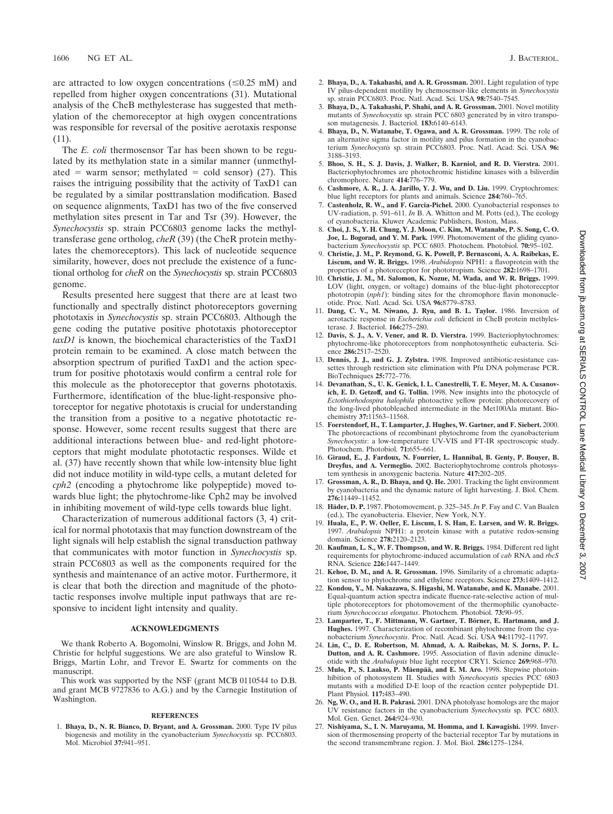are attracted to low oxygen concentrations  $(\leq 0.25 \text{ mM})$  and repelled from higher oxygen concentrations (31). Mutational analysis of the CheB methylesterase has suggested that methylation of the chemoreceptor at high oxygen concentrations was responsible for reversal of the positive aerotaxis response (11).

The *E. coli* thermosensor Tar has been shown to be regulated by its methylation state in a similar manner (unmethylated = warm sensor; methylated = cold sensor) (27). This raises the intriguing possibility that the activity of TaxD1 can be regulated by a similar posttranslation modification. Based on sequence alignments, TaxD1 has two of the five conserved methylation sites present in Tar and Tsr (39). However, the *Synechocystis* sp. strain PCC6803 genome lacks the methyltransferase gene ortholog, *cheR* (39) (the CheR protein methylates the chemoreceptors). This lack of nucleotide sequence similarity, however, does not preclude the existence of a functional ortholog for *cheR* on the *Synechocystis* sp. strain PCC6803 genome.

Results presented here suggest that there are at least two functionally and spectrally distinct photoreceptors governing phototaxis in *Synechocystis* sp. strain PCC6803. Although the gene coding the putative positive phototaxis photoreceptor *taxD1* is known, the biochemical characteristics of the TaxD1 protein remain to be examined. A close match between the absorption spectrum of purified TaxD1 and the action spectrum for positive phototaxis would confirm a central role for this molecule as the photoreceptor that governs phototaxis. Furthermore, identification of the blue-light-responsive photoreceptor for negative phototaxis is crucial for understanding the transition from a positive to a negative phototactic response. However, some recent results suggest that there are additional interactions between blue- and red-light photoreceptors that might modulate phototactic responses. Wilde et al. (37) have recently shown that while low-intensity blue light did not induce motility in wild-type cells, a mutant deleted for *cph2* (encoding a phytochrome like polypeptide) moved towards blue light; the phytochrome-like Cph2 may be involved in inhibiting movement of wild-type cells towards blue light.

Characterization of numerous additional factors (3, 4) critical for normal phototaxis that may function downstream of the light signals will help establish the signal transduction pathway that communicates with motor function in *Synechocystis* sp. strain PCC6803 as well as the components required for the synthesis and maintenance of an active motor. Furthermore, it is clear that both the direction and magnitude of the phototactic responses involve multiple input pathways that are responsive to incident light intensity and quality.

#### **ACKNOWLEDGMENTS**

We thank Roberto A. Bogomolni, Winslow R. Briggs, and John M. Christie for helpful suggestions. We are also grateful to Winslow R. Briggs, Martin Lohr, and Trevor E. Swartz for comments on the manuscript.

This work was supported by the NSF (grant MCB 0110544 to D.B. and grant MCB 9727836 to A.G.) and by the Carnegie Institution of Washington.

#### **REFERENCES**

1. **Bhaya, D., N. R. Bianco, D. Bryant, and A. Grossman.** 2000. Type IV pilus biogenesis and motility in the cyanobacterium *Synechocystis* sp. PCC6803. Mol. Microbiol **37:**941–951.

- 2. **Bhaya, D., A. Takahashi, and A. R. Grossman.** 2001. Light regulation of type IV pilus-dependent motility by chemosensor-like elements in *Synechocystis* sp. strain PCC6803. Proc. Natl. Acad. Sci. USA **98:**7540–7545.
- 3. **Bhaya, D., A. Takahashi, P. Shahi, and A. R. Grossman.** 2001. Novel motility mutants of *Synechocystis* sp. strain PCC 6803 generated by in vitro transposon mutagenesis. J. Bacteriol. **183:**6140–6143.
- 4. **Bhaya, D., N. Watanabe, T. Ogawa, and A. R. Grossman.** 1999. The role of an alternative sigma factor in motility and pilus formation in the cyanobacterium *Synechocystis* sp. strain PCC6803. Proc. Natl. Acad. Sci. USA **96:** 3188–3193.
- 5. **Bhoo, S. H., S. J. Davis, J. Walker, B. Karniol, and R. D. Vierstra.** 2001. Bacteriophytochromes are photochromic histidine kinases with a biliverdin chromophore. Nature **414:**776–779.
- 6. **Cashmore, A. R., J. A. Jarillo, Y. J. Wu, and D. Liu.** 1999. Cryptochromes: blue light receptors for plants and animals. Science **284:**760–765.
- 7. **Castenholz, R. W., and F. Garcia-Pichel.** 2000. Cyanobacterial responses to UV-radiation, p. 591–611. *In* B. A. Whitton and M. Potts (ed.), The ecology of cyanobacteria. Kluwer Academic Publishers, Boston, Mass.
- 8. **Choi, J. S., Y. H. Chung, Y. J. Moon, C. Kim, M. Watanabe, P. S. Song, C. O. Joe, L. Bogorad, and Y. M. Park.** 1999. Photomovement of the gliding cyanobacterium *Synechocystis* sp. PCC 6803. Photochem. Photobiol. **70:**95–102.
- 9. **Christie, J. M., P. Reymond, G. K. Powell, P. Bernasconi, A. A. Raibekas, E. Liscum, and W. R. Briggs.** 1998. *Arabidopsis* NPH1: a flavoprotein with the properties of a photoreceptor for phototropism. Science **282:**1698–1701.
- 10. **Christie, J. M., M. Salomon, K. Nozue, M. Wada, and W. R. Briggs.** 1999. LOV (light, oxygen, or voltage) domains of the blue-light photoreceptor phototropin (*nph1*): binding sites for the chromophore flavin mononucleotide. Proc. Natl. Acad. Sci. USA **96:**8779–8783.
- 11. **Dang, C. V., M. Niwano, J. Ryu, and B. L. Taylor.** 1986. Inversion of aerotactic response in *Escherichia coli* deficient in CheB protein methylesterase. J. Bacteriol. **166:**275–280.
- 12. **Davis, S. J., A. V. Vener, and R. D. Vierstra.** 1999. Bacteriophytochromes: phytochrome-like photoreceptors from nonphotosynthetic eubacteria. Science **286:**2517–2520.
- 13. **Dennis, J. J., and G. J. Zylstra.** 1998. Improved antibiotic-resistance cassettes through restriction site elimination with Pfu DNA polymerase PCR. BioTechniques **25:**772–776.
- 14. **Devanathan, S., U. K. Genick, I. L. Canestrelli, T. E. Meyer, M. A. Cusanovich, E. D. Getzoff, and G. Tollin.** 1998. New insights into the photocycle of *Ectothiorhodospira halophila* photoactive yellow protein: photorecovery of the long-lived photobleached intermediate in the Met100Ala mutant. Biochemistry **37:**11563–11568.
- 15. **Foerstendorf, H., T. Lamparter, J. Hughes, W. Gartner, and F. Siebert.** 2000. The photoreactions of recombinant phytochrome from the cyanobacterium *Synechocystis*: a low-temperature UV-VIS and FT-IR spectroscopic study. Photochem. Photobiol. **71:**655–661.
- 16. **Giraud, E., J. Fardoux, N. Fourrier, L. Hannibal, B. Genty, P. Bouyer, B. Dreyfus, and A. Vermeglio.** 2002. Bacteriophytochrome controls photosystem synthesis in anoxygenic bacteria. Nature **417:**202–205.
- 17. **Grossman, A. R., D. Bhaya, and Q. He.** 2001. Tracking the light environment by cyanobacteria and the dynamic nature of light harvesting. J. Biol. Chem. **276:**11449–11452.
- 18. Häder, D. P. 1987. Photomovement, p. 325-345. *In* P. Fay and C. Van Baalen (ed.), The cyanobacteria. Elsevier, New York, N.Y.
- 19. **Huala, E., P. W. Oeller, E. Liscum, I. S. Han, E. Larsen, and W. R. Briggs.** 1997. *Arabidopsis* NPH1: a protein kinase with a putative redox-sensing domain. Science **278:**2120–2123.
- 20. **Kaufman, L. S., W. F. Thompson, and W. R. Briggs.** 1984. Different red light requirements for phytochrome-induced accumulation of *cab* RNA and *rbcS* RNA. Science **226:**1447–1449.
- 21. **Kehoe, D. M., and A. R. Grossman.** 1996. Similarity of a chromatic adaptation sensor to phytochrome and ethylene receptors. Science **273:**1409–1412.
- 22. **Kondou, Y., M. Nakazawa, S. Higashi, M. Watanabe, and K. Manabe.** 2001. Equal-quantum action spectra indicate fluence-rate-selective action of multiple photoreceptors for photomovement of the thermophilic cyanobacterium *Synechococcus elongatus*. Photochem. Photobiol. **73:**90–95.
- 23. Lamparter, T., F. Mittmann, W. Gartner, T. Börner, E. Hartmann, and J. **Hughes.** 1997. Characterization of recombinant phytochrome from the cyanobacterium *Synechocystis*. Proc. Natl. Acad. Sci. USA **94:**11792–11797.
- 24. **Lin, C., D. E. Robertson, M. Ahmad, A. A. Raibekas, M. S. Jorns, P. L. Dutton, and A. R. Cashmore.** 1995. Association of flavin adenine dinucleotide with the *Arabidopsis* blue light receptor CRY1. Science **269:**968–970.
- 25. Mulo, P., S. Laakso, P. Mäenpää, and E. M. Aro. 1998. Stepwise photoinhibition of photosystem II. Studies with *Synechocystis* species PCC 6803 mutants with a modified D-E loop of the reaction center polypeptide D1. Plant Physiol. **117:**483–490.
- 26. **Ng, W. O., and H. B. Pakrasi.** 2001. DNA photolyase homologs are the major UV resistance factors in the cyanobacterium *Synechocystis* sp. PCC 6803. Mol. Gen. Genet. **264:**924–930.
- 27. **Nishiyama, S., I. N. Maruyama, M. Homma, and I. Kawagishi.** 1999. Inversion of thermosensing property of the bacterial receptor Tar by mutations in the second transmembrane region. J. Mol. Biol. **286:**1275–1284.